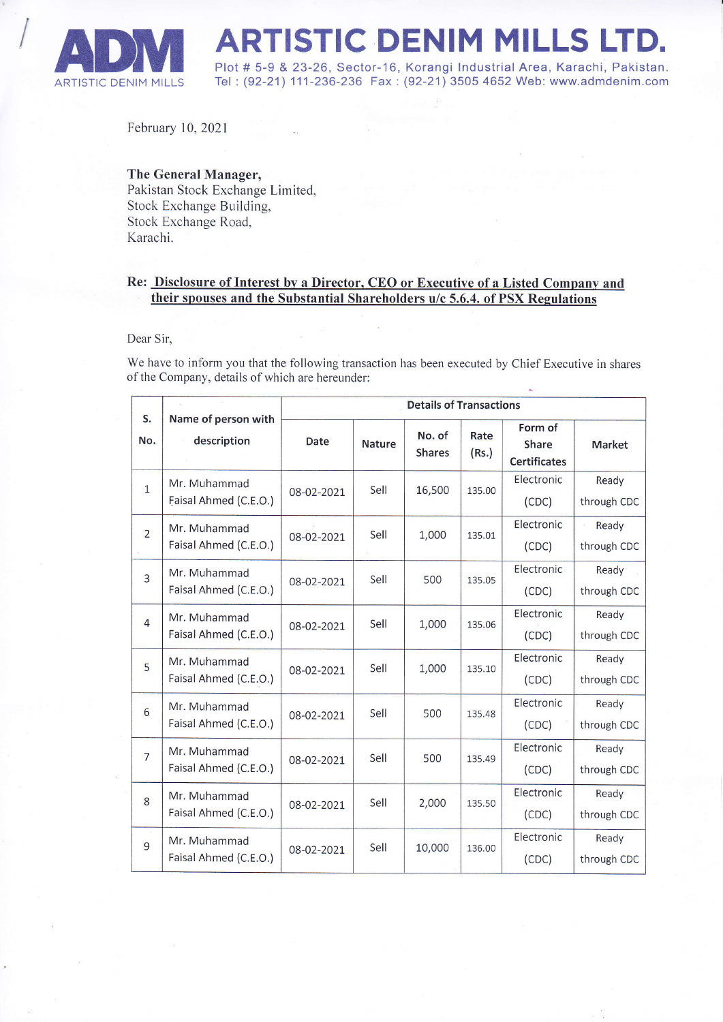

**ADIM ARTISTIC DENIM MILLS LTD.**<br>Plot # 5-9 & 23-26, Sector-16, Korangi Industrial Area, Karachi, Pakistan.<br>ARTISTIC DENIM MILLS Tel : (92-21) 111-236-236 Fax : (92-21) 3505 4652 Web: www.admdenim.com Tel: (92-21) 111-236-236 Fax: (92-21) 3505 4652 Web: www.admdenim.com

February 10,2021

## The General Manager,

Pakistan Stock Exchange Limited, Stock Exchange Building, Stock Exchange Road, Karachi.

## Re: Disclosure of Interest by a Director, CEO or Executive of a Listed Company and their spouses and the Substantial Shareholders u/c 5.6.4. of PSX Regulations

## Dear Sir,

We have to inform you that the following transaction has been executed by Chief Executive in shares of the Company, details of which are hereunder:

|                |                                       | <b>Details of Transactions</b> |               |                         |               |                                                |                      |
|----------------|---------------------------------------|--------------------------------|---------------|-------------------------|---------------|------------------------------------------------|----------------------|
| S.<br>No.      | Name of person with<br>description    | Date                           | <b>Nature</b> | No. of<br><b>Shares</b> | Rate<br>(Rs.) | Form of<br><b>Share</b><br><b>Certificates</b> | <b>Market</b>        |
| $\mathbf{1}$   | Mr. Muhammad<br>Faisal Ahmed (C.E.O.) | 08-02-2021                     | Sell          | 16,500                  | 135.00        | Electronic<br>(CDC)                            | Ready<br>through CDC |
| $\overline{2}$ | Mr. Muhammad<br>Faisal Ahmed (C.E.O.) | 08-02-2021                     | Sell          | 1,000                   | 135.01        | Electronic<br>(CDC)                            | Ready<br>through CDC |
| 3              | Mr. Muhammad<br>Faisal Ahmed (C.E.O.) | 08-02-2021                     | Sell          | 500                     | 135.05        | Electronic<br>(CDC)                            | Ready<br>through CDC |
| $\overline{4}$ | Mr. Muhammad<br>Faisal Ahmed (C.E.O.) | 08-02-2021                     | Sell          | 1,000                   | 135.06        | Electronic<br>(CDC)                            | Ready<br>through CDC |
| 5              | Mr. Muhammad<br>Faisal Ahmed (C.E.O.) | 08-02-2021                     | Sell          | 1,000                   | 135.10        | Electronic<br>(CDC)                            | Ready<br>through CDC |
| 6              | Mr. Muhammad<br>Faisal Ahmed (C.E.O.) | 08-02-2021                     | Sell          | 500                     | 135.48        | Electronic<br>(CDC)                            | Ready<br>through CDC |
| $\overline{7}$ | Mr. Muhammad<br>Faisal Ahmed (C.E.O.) | 08-02-2021                     | Sell          | 500                     | 135.49        | Electronic<br>(CDC)                            | Ready<br>through CDC |
| 8              | Mr. Muhammad<br>Faisal Ahmed (C.E.O.) | 08-02-2021                     | Sell          | 2,000                   | 135.50        | Electronic<br>(CDC)                            | Ready<br>through CDC |
| 9              | Mr. Muhammad<br>Faisal Ahmed (C.E.O.) | 08-02-2021                     | Sell          | 10,000                  | 136.00        | Electronic<br>(CDC)                            | Ready<br>through CDC |